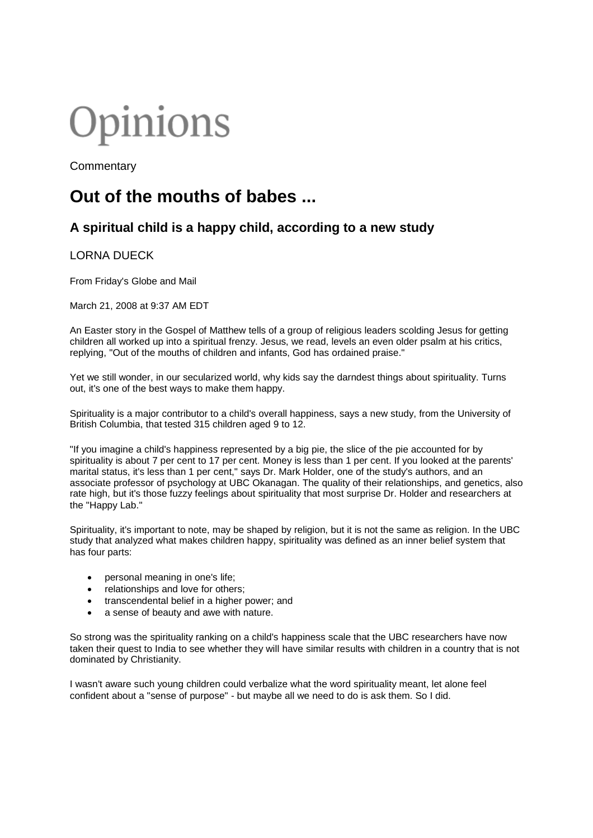# Opinions

**Commentary** 

## **Out of the mouths of babes ...**

### **A spiritual child is a happy child, according to a new study**

#### LORNA DUECK

From Friday's Globe and Mail

March 21, 2008 at 9:37 AM EDT

An Easter story in the Gospel of Matthew tells of a group of religious leaders scolding Jesus for getting children all worked up into a spiritual frenzy. Jesus, we read, levels an even older psalm at his critics, replying, "Out of the mouths of children and infants, God has ordained praise."

Yet we still wonder, in our secularized world, why kids say the darndest things about spirituality. Turns out, it's one of the best ways to make them happy.

Spirituality is a major contributor to a child's overall happiness, says a new study, from the University of British Columbia, that tested 315 children aged 9 to 12.

"If you imagine a child's happiness represented by a big pie, the slice of the pie accounted for by spirituality is about 7 per cent to 17 per cent. Money is less than 1 per cent. If you looked at the parents' marital status, it's less than 1 per cent," says Dr. Mark Holder, one of the study's authors, and an associate professor of psychology at UBC Okanagan. The quality of their relationships, and genetics, also rate high, but it's those fuzzy feelings about spirituality that most surprise Dr. Holder and researchers at the "Happy Lab."

Spirituality, it's important to note, may be shaped by religion, but it is not the same as religion. In the UBC study that analyzed what makes children happy, spirituality was defined as an inner belief system that has four parts:

- personal meaning in one's life:
- relationships and love for others;
- transcendental belief in a higher power; and
- a sense of beauty and awe with nature.

So strong was the spirituality ranking on a child's happiness scale that the UBC researchers have now taken their quest to India to see whether they will have similar results with children in a country that is not dominated by Christianity.

I wasn't aware such young children could verbalize what the word spirituality meant, let alone feel confident about a "sense of purpose" - but maybe all we need to do is ask them. So I did.